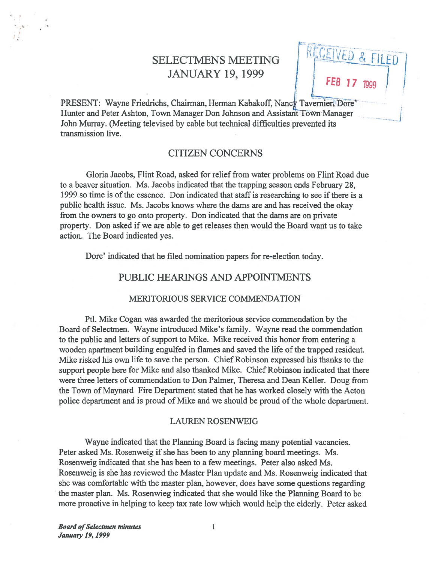# JANUARY 19, 1999

SELECTMENS MEETING | RELEVED & FILED

PRESENT: Wayne Friedrichs, Chairman, Herman Kabakoff, Nancy Tavernier(Dore' Hunter and Peter Ashton, Town Manager Don Johnson and Assistant Town Manager John Murray. (Meeting televised by cable but technical difficulties prevented its transmission live.

# CITIZEN CONCERNS

Gloria Jacobs, Flint Road, asked for relief from water problems on Flint Road due to <sup>a</sup> beaver situation. Ms. Jacobs indicated that the trapping season ends February 28, 1999 so time is ofthe essence. Don indicated that staffis researching to see ifthere is <sup>a</sup> public health issue. Ms. Jacobs knows where the dams are and has received the okay from the owners to go onto property. Don indicated that the dams are on private property. Don asked if we are able to get releases then would the Board want us to take action. The Board indicated yes.

Dore' indicated that he filed nomination papers for re-election today.

# PUBLIC HEARINGS AND APPOINTMENTS

#### MERITORIOUS SERVICE COMMENDATION

Ptl. Mike Cogan was awarded the meritorious service commendation by the Board of Selectmen. Wayne introduced Mike's family. Wayne read the commendation to the public and letters of support to Mike. Mike received this honor from entering a wooden apartment building engulfed in flames and saved the life of the trapped resident. Mike risked his own life to save the person. Chief Robinson expresse<sup>d</sup> his thanks to the support people here for Mike and also thanked Mike. Chief Robinson indicated that there were three letters of commendation to Don Palmer, Theresa and Dean Keller. Doug from the Town of Maynard Fire Department stated that he has worked closely with the Acton police department and is proud of Mike and we should be proud of the whole department.

#### LAUREN ROSENWEIG

Wayne indicated that the Planning Board is facing many potential vacancies. Peter asked Ms. Rosenweig if she has been to any planning board meetings. Ms. Rosenweig indicated that she has been to <sup>a</sup> few meetings. Peter also asked Ms. Rosenweig is she has reviewed the Master Plan update and Ms. Rosenweig indicated that she was comfortable with the master plan, however, does have some questions regarding the master plan. Ms. Rosenwieg indicated that she would like the Planning Board to be more proactive in helping to keep tax rate low which would help the elderly. Peter asked

4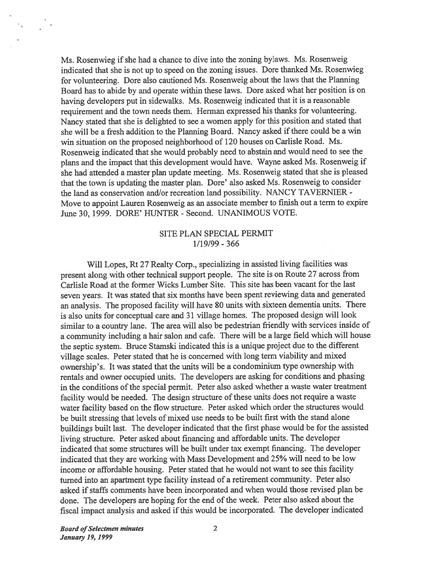Ms. Rosenwieg if she had a chance to dive into the zoning bylaws. Ms. Rosenweig indicated that she is not up to speed on the zoning issues. Dore thanked Ms. Rosenwieg for volunteering. Dore also cautioned Ms. Rosenweig about the laws that the Planning Board has to abide by and operate within these laws. Dore asked what her position is on having developers pu<sup>t</sup> in sidewalks. Ms. Rosenweig indicated that it is <sup>a</sup> reasonable requirement and the town needs them. Herman expresse<sup>d</sup> his thanks for volunteering. Nancy stated that she is delighted to see <sup>a</sup> women apply for this position and stated that she will be a fresh addition to the Planning Board. Nancy asked if there could be a win win situation on the proposed neighborhood of 120 houses on Carlisle Road. Ms. Rosenweig indicated that she would probably need to abstain and would need to see the <sup>p</sup>lans and the impact that this development would have. Wayne asked Ms. Rosenweig if she had attended <sup>a</sup> master <sup>p</sup>lan update meeting. Ms. Rosenweig stated that she is <sup>p</sup>leased that the town is updating the master <sup>p</sup>lan. Dore' also asked Ms. Rosenweig to consider the land as conservation and/or recreation land possibility. NANCY TAVERNIER -Move to appoint Lauren Rosenweig as an associate member to finish out <sup>a</sup> term to expire June 30, 1999. DORE' HUNTER - Second. UNANIMOUS VOTE.

### SITE PLAN SPECIAL PERMIT 1/19/99 - 366

Will Lopes, Rt <sup>27</sup> Realty Corp., specializing in assisted living facilities was presen<sup>t</sup> along with other technical suppor<sup>t</sup> people. The site is on Route <sup>27</sup> across from Carlisle Road at the former Wicks Lumber Site. This site has been vacant for the last seven years. It was stated that six months have been spen<sup>t</sup> reviewing data and generated an analysis. The propose<sup>d</sup> facility will have <sup>80</sup> units with sixteen dementia units. There is also units for conceptual care and <sup>31</sup> village homes. The propose<sup>d</sup> design will look similar to <sup>a</sup> country lane. The area will also be pedestrian friendly with services inside of <sup>a</sup> community including <sup>a</sup> hair salon and cafe. There will be <sup>a</sup> large field which will house the septic system. Bruce Stamski indicated this is <sup>a</sup> unique project due to the different village scales. Peter stated that he is concerned with long term viability and mixed ownership's. It was stated that the units will be <sup>a</sup> condominium type ownership with rentals and owner occupied units. The developers are asking for conditions and <sup>p</sup>hasing in the conditions of the special permit. Peter also asked whether a waste water treatment facility would be needed. The design structure of these units does not require a waste water facility based on the flow structure. Peter asked which order the structures would be built stressing that levels of mixed use needs to be built first with the stand alone buildings built last. The developer indicated that the first <sup>p</sup>hase would be for the assisted living structure. Peter asked about financing and affordable units. The developer indicated that some structures will be built under tax exemp<sup>t</sup> financing. The developer indicated that they are working with Mass Development and 25% will need to be low income or affordable housing. Peter stated that he would not want to see this facility turned into an apartment type facility instead of <sup>a</sup> retirement community. Peter also asked if staffs comments have been incorporated and when would those revised plan be done. The developers are hoping for the end of the week. Peter also asked about the fiscal impact analysis and asked if this would be incorporated. The developer indicated

**Board of Selectmen minutes** 2 January 19, 1999

 $\epsilon_{\rm e} = \frac{\lambda}{2}$  ).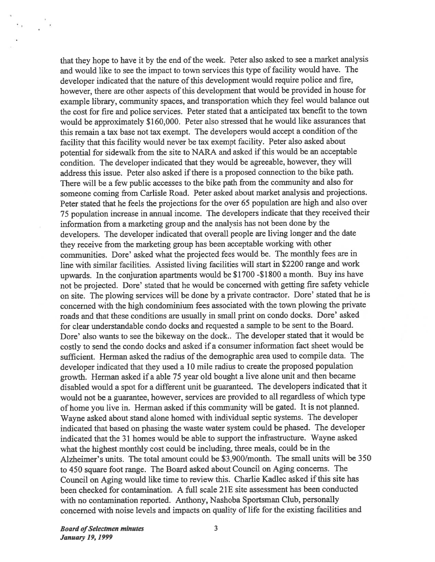that they hope to have it by the end of the week. Peter also asked to see a market analysis and would like to see the impact to town services this type of facility would have. The developer indicated that the nature of this development would require police and fire, however, there are other aspects of this development that would be provided in house for example library, community spaces, and transportation which they feel would balance out the cost for fire and police services. Peter stated that <sup>a</sup> anticipated tax benefit to the town would be approximately \$160,000. Peter also stressed that he would like assurances that this remain <sup>a</sup> tax base not tax exempt. The developers would accep<sup>t</sup> <sup>a</sup> condition of the facility that this facility would never be tax exemp<sup>t</sup> facility. Peter also asked about potential for sidewalk from the site to NARA and asked if this would be an acceptable condition. The developer indicated that they would be agreeable, however, they will address this issue. Peter also asked if there is a proposed connection to the bike path. There will be <sup>a</sup> few public accesses to the bike path from the community and also for someone coming from Carlisle Road. Peter asked about market analysis and projections. Peter stated that he feels the projections for the over <sup>65</sup> population are high and also over <sup>75</sup> population increase in annual income. The developers indicate that they received their information from <sup>a</sup> marketing group and the analysis has not been done by the developers. The developer indicated that overall people are living longer and the date they receive from the marketing group has been acceptable working with other communities. Dore' asked what the projected fees would be. The monthly fees are in line with similar facilities. Assisted living facilities will start in \$2200 range and work upwards. In the conjuration apartments would be \$1700 -\$1 \$00 <sup>a</sup> month. Buy ins have not be projected. Dore' stated that he would be concerned with getting fire safety vehicle on site. The <sup>p</sup>lowing services will be done by <sup>a</sup> private contractor. Dore' stated that he is concerned with the high condominium fees associated with the town <sup>p</sup>lowing the private roads and that these conditions are usually in small print on condo docks. Dore' asked for clear understandable condo docks and requested <sup>a</sup> sample to be sent to the Board. Dore' also wants to see the bikeway on the dock.. The developer stated that it would be costly to send the condo docks and asked if <sup>a</sup> consumer information fact sheet would be sufficient. Herman asked the radius of the demographic area used to compile data. The developer indicated that they used <sup>a</sup> 10 mile radius to create the proposed population growth. Herman asked if <sup>a</sup> able 75 year old bought <sup>a</sup> live alone unit and then became disabled would <sup>a</sup> spo<sup>t</sup> for <sup>a</sup> different unit be guaranteed. The developers indicated that it would not be <sup>a</sup> guarantee, however, services are provided to all regardless of which type of home you live in. Herman asked ifthis community will be gated. It is not <sup>p</sup>lanned. Wayne asked about stand alone homed with individual septic systems. The developer indicated that based on <sup>p</sup>hasing the waste water system could be <sup>p</sup>hased. The developer indicated that the 31 homes would be able to suppor<sup>t</sup> the infrastructure. Wayne asked what the highest monthly cost could be including, three meals, could be in the Alzheimer's units. The total amount could be \$3,900/month. The small units will be 350 to <sup>450</sup> square foot range. The Board asked about Council on Aging concerns. The Council on Aging would like time to review this. Charlie Kadlec asked if this site has been checked for contamination. A full scale 21E site assessment has been conducted with no contamination reported. Anthony, Nashoba Sportsman Club, personally concerned with noise levels and impacts on quality of life for the existing facilities and

**Board of Selectmen minutes** 3 January 19, 1999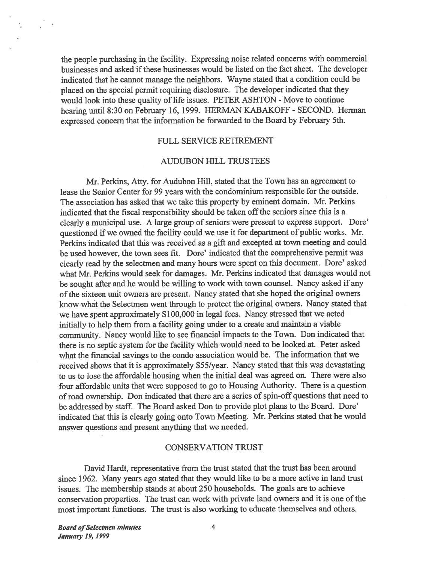the people purchasing in the facility. Expressing noise related concerns with commercial businesses and asked if these businesses would be listed on the fact sheet. The developer indicated that he cannot manage the neighbors. Wayne stated that <sup>a</sup> condition could be <sup>p</sup>laced on the special permit requiring disclosure. The developer indicated that they would look into these quality of life issues. PETER ASHTON - Move to continue hearing until 8:30 on february 16, 1999. HERMAN KABAKOFF - SECOND. Herman expresse<sup>d</sup> concern that the information be forwarded to the Board by february 5th.

#### FULL SERVICE RETIREMENT

#### AUDUBON HILL TRUSTEES

Mr. Perkins, Atty. for Audubon Hill, stated that the Town has an agreemen<sup>t</sup> to lease the Senior Center for 99 years with the condominium responsible for the outside. The association has asked that we take this property by eminent domain. Mr. Perkins indicated that the fiscal responsibility should be taken off the seniors since this is a clearly a municipal use. A large group of seniors were present to express support. Dore' questioned if we owned the facility could we use it for department of public works. Mr. Perkins indicated that this was received as <sup>a</sup> <sup>g</sup>ift and excepted at town meeting and could be used however, the town sees fit. Dore' indicated that the comprehensive permit was clearly read by the selectmen and many hours were spen<sup>t</sup> on this document. Dore' asked what Mr. Perkins would seek for damages. Mr. Perkins indicated that damages would not be sought after and he would be willing to work with town counsel. Nancy asked if any ofthe sixteen unit owners are present. Nancy stated that she hoped the original owners know what the Selectmen went through to protect the original owners. Nancy stated that we have spen<sup>t</sup> approximately \$100,000 in legal fees. Nancy stressed that we acted initially to help them from <sup>a</sup> facility going under to <sup>a</sup> create and maintain <sup>a</sup> viable community. Nancy would like to see financial impacts to the Town. Don indicated that there is no septic system for the facility which would need to be looked at. Peter asked what the financial savings to the condo association would be. The information that we received shows that it is approximately \$55/year. Nancy stated that this was devastating to us to lose the affordable housing when the initial deal was agreed on. There were also four affordable units that were supposed to go to Housing Authority. There is <sup>a</sup> question of road ownership. Don indicated that there are a series of spin-off questions that need to be addressed by staff. The Board asked Don to provide <sup>p</sup>lot <sup>p</sup>lans to the Board. Dore' indicated that this is clearly going onto Town Meeting. Mr. Perkins stated that he would answer questions and presen<sup>t</sup> anything that we needed.

#### CONSERVATION TRUST

David Hardt, representative from the trust stated that the trust has been around since 1962. Many years ago stated that they would like to be <sup>a</sup> more active in land trust issues. The membership stands at about 250 households. The goals are to achieve conservation properties. The trust can work with private land owners and it is one of the most important functions. The trust is also working to educate themselves and others.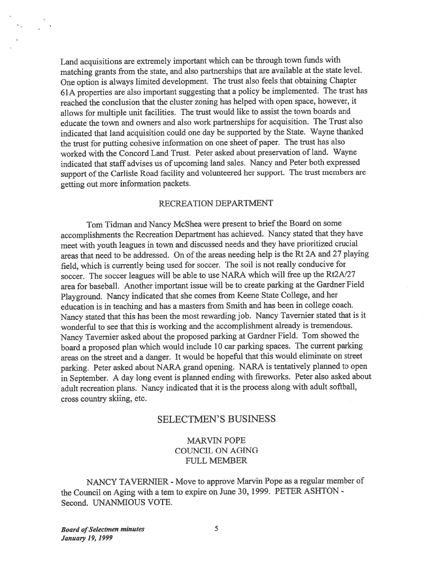Land acquisitions are extremely important which can be through town funds with matching grants from the state, and also partnerships that are available at the state level. One option is always limited development. The trust also feels that obtaining Chapter 61A properties are also important suggesting that <sup>a</sup> policy be implemented. The trust has reached the conclusion that the cluster zoning has helped with open space, however, it allows for multiple unit facilities. The trust would like to assist the town boards and educate the town and owners and also work partnerships for acquisition. The Trust also indicated that land acquisition could one day be supported by the State. Wayne thanked the trust for putting cohesive information on one sheet of paper. The trust has also worked with the Concord Land Trust. Peter asked about preservation of land. Wayne indicated that staff advises us of upcoming land sales. Nancy and Peter both expresse<sup>d</sup> support of the Carlisle Road facility and volunteered her support. The trust members are getting out more information packets.

#### RECREATION DEPARTMENT

Tom Tidman and Nancy McShea were presen<sup>t</sup> to brief the Board on some accomplishments the Recreation Department has achieved. Nancy stated that they have meet with youth leagues in town and discussed needs and they have prioritized crucial areas that need to be addressed. On of the areas needing help is the Rt 2A and 27 playing field, which is currently being used for soccer. The soil is not really conducive for soccer. The soccer leagues will be able to use NARA which will free up the Rt2A/27 area for baseball. Another important issue will be to create parking at the Gardner Field Playground. Nancy indicated that she comes from Keene State College, and her education is in teaching and has <sup>a</sup> masters from Smith and has been in college coach. Nancy stated that this has been the most rewarding job. Nancy Tavemier stated that is it wonderful to see that this is working and the accomplishment already is tremendous. Nancy Tavemier asked about the propose<sup>d</sup> parking at Gardner Field. Tom showed the board <sup>a</sup> propose<sup>d</sup> <sup>p</sup>lan which would include <sup>10</sup> car parking spaces. The current parking areas on the street and <sup>a</sup> danger. It would be hopeful that this would eliminate on street parking. Peter asked about NARA gran<sup>d</sup> opening. NARA is tentatively <sup>p</sup>lanned to open in September. <sup>A</sup> day long event is <sup>p</sup>lanned ending with fireworks. Peter also asked about adult recreation <sup>p</sup>lans. Nancy indicated that it is the process along with adult softball, cross country skiing, etc.

# SELECTMEN'S BUSINESS

# MARVIN POPE COUNCIL ON AGING FULL MEMBER

NANCY TAVERNIER - Move to approve Marvin Pope as <sup>a</sup> regular member of the Council on Aging with <sup>a</sup> tern to expire on June 30, 1999. PETER ASHTON - Second. UNANMIOUS VOTE.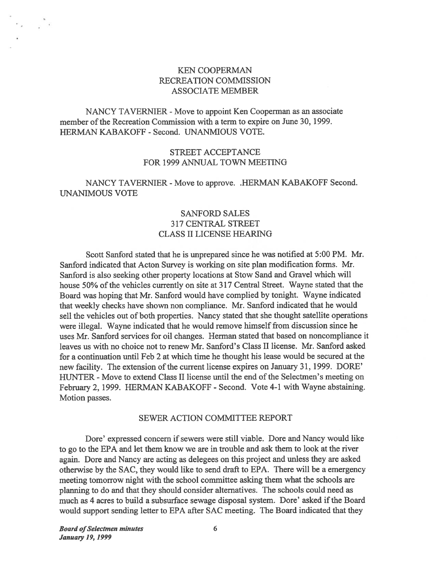## KEN COOPERMAN RECREATION COMMISSION ASSOCIATE MEMBER

NANCY TAVERNIER - Move to appoint Ken Cooperman as an associate member of the Recreation Commission with a term to expire on June 30, 1999. HERMAN KABAKOFF - Second. UNANMIOUS VOTE.

## STREET ACCEPTANCE FOR 1999 ANNUAL TOWN MEETING

# NANCY TAVERNIER - Move to approve. .HERMAN KABAKOFF Second. UNANIMOUS VOTE

# SANFORD SALES 317 CENTRAL STREET CLASS II LICENSE HEARING

Scott Sanford stated that he is unprepared since he was notified at 5:00 PM. Mr. Sanford indicated that Acton Survey is working on site plan modification forms. Mr. Sanford is also seeking other property locations at Stow Sand and Gravel which will house 50% of the vehicles currently on site at 317 Central Street. Wayne stated that the Board was hoping that Mr. Sanford would have complied by tonight. Wayne indicated that weekly checks have shown non compliance. Mr. Sanford indicated that he would sell the vehicles out of both properties. Nancy stated that she thought satellite operations were illegal. Wayne indicated that he would remove himself from discussion since he uses Mr. Sanford services for oil changes. Herman stated that based on noncompliance it leaves us with no choice not to renew Mr. Sanford's Class II license. Mr. Sanford asked for <sup>a</sup> continuation until Feb 2 at which time he thought his lease would be secured at the new facility. The extension of the current license expires on January 31, 1999. DORE' HUNTER - Move to extend Class II license until the end of the Selectmen's meeting on February 2, 1999. HERMAN KABAKOFF - Second. Vote 4-1 with Wayne abstaining. Motion passes.

#### SEWER ACTION COMMITTEE REPORT

Dore' expressed concern if sewers were still viable. Dore and Nancy would like to go to the EPA and let them know we are in trouble and ask them to look at the river again. Dore and Nancy are acting as delegees on this project and unless they are asked otherwise by the SAC, they would like to send draft to EPA. There will be <sup>a</sup> emergency meeting tomorrow night with the school committee asking them what the schools are <sup>p</sup>lanning to do and that they should consider alternatives. The schools could need as much as 4 acres to build a subsurface sewage disposal system. Dore' asked if the Board would suppor<sup>t</sup> sending letter to EPA after SAC meeting. The Board indicated that they

**Board of Selectmen minutes** 6 January 19, 1999

 $\epsilon_{\rm acc} \sim \frac{\pi}{2}$  .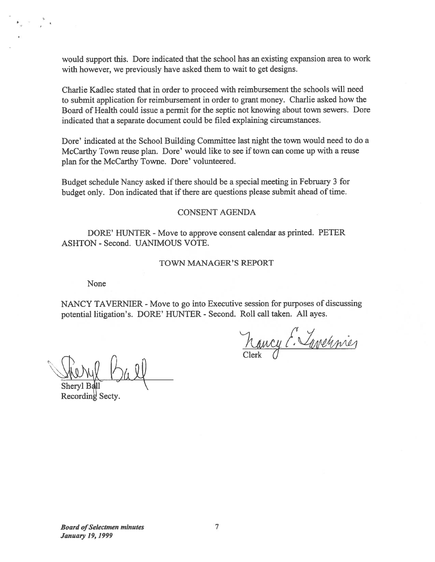would suppor<sup>t</sup> this. Dore indicated that the school has an existing expansion area to work with however, we previously have asked them to wait to ge<sup>t</sup> designs.

Charlie Kadlec stated that in order to proceed with reimbursement the schools will need to submit application for reimbursement in order to gran<sup>t</sup> money. Charlie asked how the Board of Health could issue <sup>a</sup> permit for the septic not knowing about town sewers. Dore indicated that <sup>a</sup> separate document could be filed explaining circumstances.

Dore' indicated at the School Building Committee last night the town would need to do <sup>a</sup> McCarthy Town reuse plan. Dore' would like to see if town can come up with a reuse plan for the McCarthy Towne. Dore' volunteered.

Budget schedule Nancy asked if there should be a special meeting in February 3 for budget only. Don indicated that if there are questions please submit ahead of time.

#### CONSENT AGENDA

DORE' HUNTER - Move to approve consent calendar as printed. PETER ASHTON - Second. UANIMOUS VOTE.

#### TOWN MANAGER'S REPORT

None

 $\bullet$  .  $\bullet$  .  $\bullet$ 

NANCY TAVERNIER - Move to go into Executive session for purposes of discussing potential litigation's. DORE' HUNTER - Second. Roll call taken. All ayes.

Kancy E. Tavennier

Sheryl Ball  $h$ 

Recording Secty.